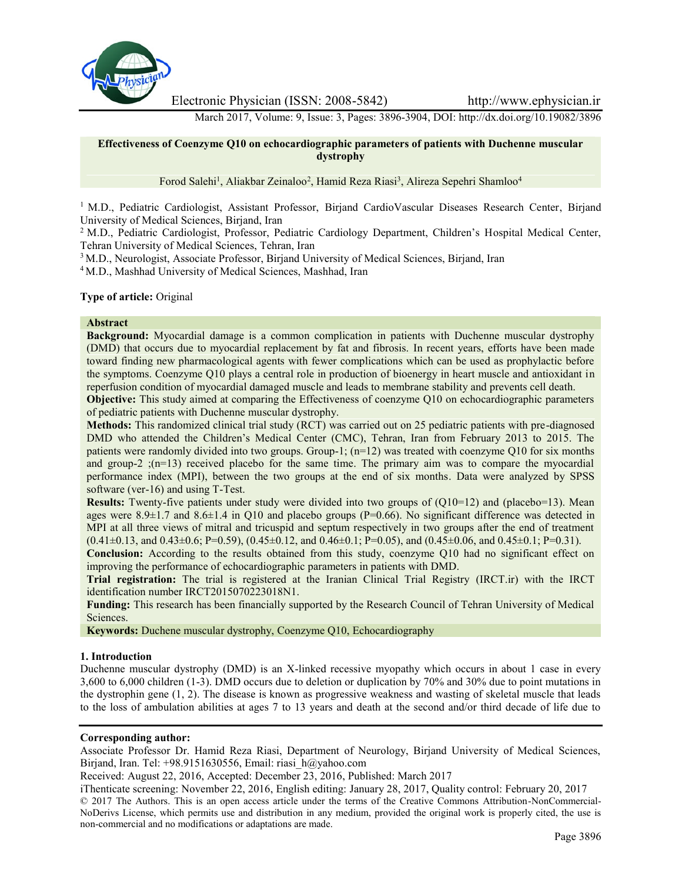

Electronic Physician (ISSN: 2008-5842) http://www.ephysician.ir

March 2017, Volume: 9, Issue: 3, Pages: 3896-3904, DOI: http://dx.doi.org/10.19082/3896

## **Effectiveness of Coenzyme Q10 on echocardiographic parameters of patients with Duchenne muscular dystrophy**

Forod Salehi<sup>1</sup>, Aliakbar Zeinaloo<sup>2</sup>, Hamid Reza Riasi<sup>3</sup>, Alireza Sepehri Shamloo<sup>4</sup>

<sup>1</sup> M.D., Pediatric Cardiologist, Assistant Professor, Birjand CardioVascular Diseases Research Center, Birjand University of Medical Sciences, Birjand, Iran

<sup>2</sup> M.D., Pediatric Cardiologist, Professor, Pediatric Cardiology Department, Children's Hospital Medical Center, Tehran University of Medical Sciences, Tehran, Iran

<sup>3</sup> M.D., Neurologist, Associate Professor, Birjand University of Medical Sciences, Birjand, Iran

<sup>4</sup> M.D., Mashhad University of Medical Sciences, Mashhad, Iran

### **Type of article:** Original

#### **Abstract**

**Background:** Myocardial damage is a common complication in patients with Duchenne muscular dystrophy (DMD) that occurs due to myocardial replacement by fat and fibrosis. In recent years, efforts have been made toward finding new pharmacological agents with fewer complications which can be used as prophylactic before the symptoms. Coenzyme Q10 plays a central role in production of bioenergy in heart muscle and antioxidant in reperfusion condition of myocardial damaged muscle and leads to membrane stability and prevents cell death.

**Objective:** This study aimed at comparing the Effectiveness of coenzyme Q10 on echocardiographic parameters of pediatric patients with Duchenne muscular dystrophy.

**Methods:** This randomized clinical trial study (RCT) was carried out on 25 pediatric patients with pre-diagnosed DMD who attended the Children's Medical Center (CMC), Tehran, Iran from February 2013 to 2015. The patients were randomly divided into two groups. Group-1; (n=12) was treated with coenzyme Q10 for six months and group-2  $(n=13)$  received placebo for the same time. The primary aim was to compare the myocardial performance index (MPI), between the two groups at the end of six months. Data were analyzed by SPSS software (ver-16) and using T-Test.

**Results:** Twenty-five patients under study were divided into two groups of (Q10=12) and (placebo=13). Mean ages were  $8.9\pm1.7$  and  $8.6\pm1.4$  in O10 and placebo groups (P=0.66). No significant difference was detected in MPI at all three views of mitral and tricuspid and septum respectively in two groups after the end of treatment  $(0.41\pm0.13, \text{ and } 0.43\pm0.6; \text{ P=0.59}), (0.45\pm0.12, \text{ and } 0.46\pm0.1; \text{ P=0.05}), \text{ and } (0.45\pm0.06, \text{ and } 0.45\pm0.1; \text{ P=0.31}).$ 

**Conclusion:** According to the results obtained from this study, coenzyme Q10 had no significant effect on improving the performance of echocardiographic parameters in patients with DMD.

**Trial registration:** The trial is registered at the Iranian Clinical Trial Registry (IRCT.ir) with the IRCT identification number IRCT2015070223018N1.

**Funding:** This research has been financially supported by the Research Council of Tehran University of Medical Sciences.

**Keywords:** Duchene muscular dystrophy, Coenzyme Q10, Echocardiography

#### **1. Introduction**

Duchenne muscular dystrophy (DMD) is an X-linked recessive myopathy which occurs in about 1 case in every 3,600 to 6,000 children (1-3). DMD occurs due to deletion or duplication by 70% and 30% due to point mutations in the dystrophin gene (1, 2). The disease is known as progressive weakness and wasting of skeletal muscle that leads to the loss of ambulation abilities at ages 7 to 13 years and death at the second and/or third decade of life due to

#### **Corresponding author:**

Associate Professor Dr. Hamid Reza Riasi, Department of Neurology, Birjand University of Medical Sciences, Birjand, Iran. Tel: +98.9151630556, Email: riasi\_h@yahoo.com

Received: August 22, 2016, Accepted: December 23, 2016, Published: March 2017

iThenticate screening: November 22, 2016, English editing: January 28, 2017, Quality control: February 20, 2017 © 2017 The Authors. This is an open access article under the terms of the Creative Commons Attribution-NonCommercial- NoDerivs License, which permits use and distribution in any medium, provided the original work is properly cited, the use is non-commercial and no modifications or adaptations are made.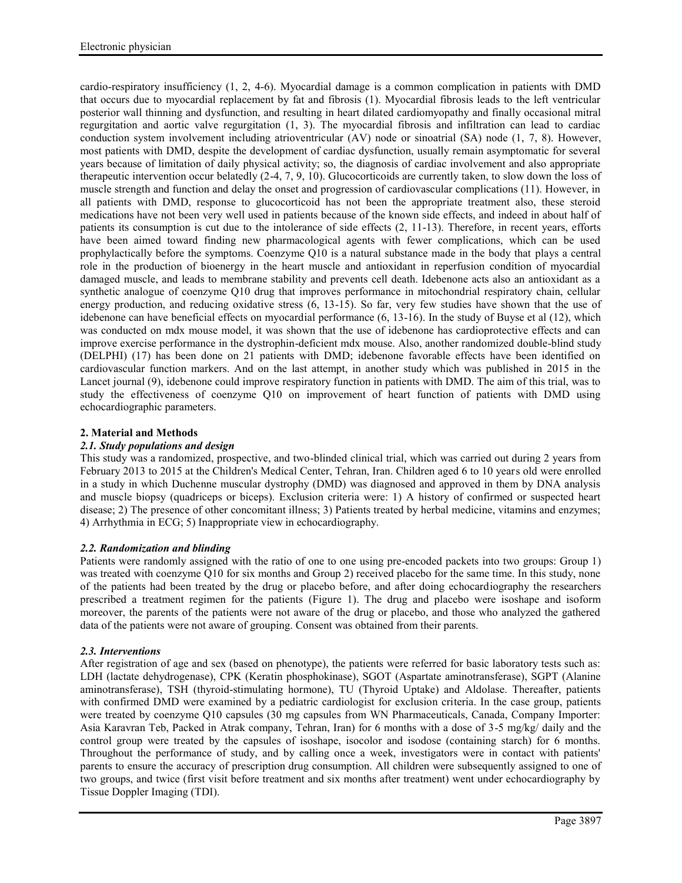cardio-respiratory insufficiency (1, 2, 4-6). Myocardial damage is a common complication in patients with DMD that occurs due to myocardial replacement by fat and fibrosis (1). Myocardial fibrosis leads to the left ventricular posterior wall thinning and dysfunction, and resulting in heart dilated cardiomyopathy and finally occasional mitral regurgitation and aortic valve regurgitation (1, 3). The myocardial fibrosis and infiltration can lead to cardiac conduction system involvement including atrioventricular (AV) node or sinoatrial (SA) node (1, 7, 8). However, most patients with DMD, despite the development of cardiac dysfunction, usually remain asymptomatic for several years because of limitation of daily physical activity; so, the diagnosis of cardiac involvement and also appropriate therapeutic intervention occur belatedly (2-4, 7, 9, 10). Glucocorticoids are currently taken, to slow down the loss of muscle strength and function and delay the onset and progression of cardiovascular complications (11). However, in all patients with DMD, response to glucocorticoid has not been the appropriate treatment also, these steroid medications have not been very well used in patients because of the known side effects, and indeed in about half of patients its consumption is cut due to the intolerance of side effects (2, 11-13). Therefore, in recent years, efforts have been aimed toward finding new pharmacological agents with fewer complications, which can be used prophylactically before the symptoms. Coenzyme Q10 is a natural substance made in the body that plays a central role in the production of bioenergy in the heart muscle and antioxidant in reperfusion condition of myocardial damaged muscle, and leads to membrane stability and prevents cell death. Idebenone acts also an antioxidant as a synthetic analogue of coenzyme Q10 drug that improves performance in mitochondrial respiratory chain, cellular energy production, and reducing oxidative stress (6, 13-15). So far, very few studies have shown that the use of idebenone can have beneficial effects on myocardial performance (6, 13-16). In the study of Buyse et al (12), which was conducted on mdx mouse model, it was shown that the use of idebenone has cardioprotective effects and can improve exercise performance in the dystrophin-deficient mdx mouse. Also, another randomized double-blind study (DELPHI) (17) has been done on 21 patients with DMD; idebenone favorable effects have been identified on cardiovascular function markers. And on the last attempt, in another study which was published in 2015 in the Lancet journal (9), idebenone could improve respiratory function in patients with DMD. The aim of this trial, was to study the effectiveness of coenzyme Q10 on improvement of heart function of patients with DMD using echocardiographic parameters.

## **2. Material and Methods**

## *2.1. Study populations and design*

This study was a randomized, prospective, and two-blinded clinical trial, which was carried out during 2 years from February 2013 to 2015 at the Children's Medical Center, Tehran, Iran. Children aged 6 to 10 years old were enrolled in a study in which Duchenne muscular dystrophy (DMD) was diagnosed and approved in them by DNA analysis and muscle biopsy (quadriceps or biceps). Exclusion criteria were: 1) A history of confirmed or suspected heart disease; 2) The presence of other concomitant illness; 3) Patients treated by herbal medicine, vitamins and enzymes; 4) Arrhythmia in ECG; 5) Inappropriate view in echocardiography.

## *2.2. Randomization and blinding*

Patients were randomly assigned with the ratio of one to one using pre-encoded packets into two groups: Group 1) was treated with coenzyme Q10 for six months and Group 2) received placebo for the same time. In this study, none of the patients had been treated by the drug or placebo before, and after doing echocardiography the researchers prescribed a treatment regimen for the patients (Figure 1). The drug and placebo were isoshape and isoform moreover, the parents of the patients were not aware of the drug or placebo, and those who analyzed the gathered data of the patients were not aware of grouping. Consent was obtained from their parents.

## *2.3. Interventions*

After registration of age and sex (based on phenotype), the patients were referred for basic laboratory tests such as: LDH (lactate dehydrogenase), CPK (Keratin phosphokinase), SGOT (Aspartate aminotransferase), SGPT (Alanine aminotransferase), TSH (thyroid-stimulating hormone), TU (Thyroid Uptake) and Aldolase. Thereafter, patients with confirmed DMD were examined by a pediatric cardiologist for exclusion criteria. In the case group, patients were treated by coenzyme Q10 capsules (30 mg capsules from WN Pharmaceuticals, Canada, Company Importer: Asia Karavran Teb, Packed in Atrak company, Tehran, Iran) for 6 months with a dose of 3-5 mg/kg/ daily and the control group were treated by the capsules of isoshape, isocolor and isodose (containing starch) for 6 months. Throughout the performance of study, and by calling once a week, investigators were in contact with patients' parents to ensure the accuracy of prescription drug consumption. All children were subsequently assigned to one of two groups, and twice (first visit before treatment and six months after treatment) went under echocardiography by Tissue Doppler Imaging (TDI).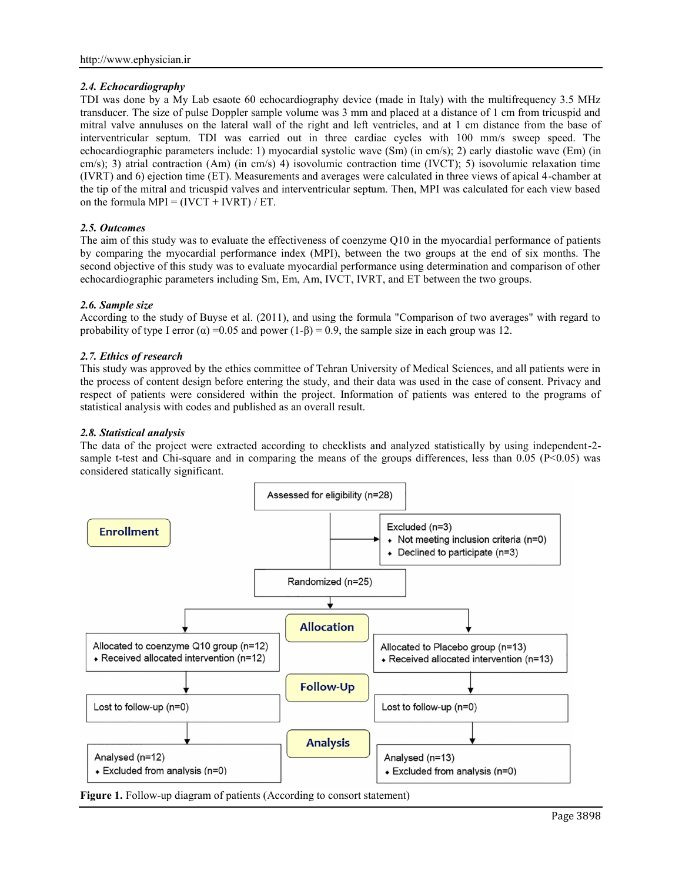# *2.4. Echocardiography*

TDI was done by a My Lab esaote 60 echocardiography device (made in Italy) with the multifrequency 3.5 MHz transducer. The size of pulse Doppler sample volume was 3 mm and placed at a distance of 1 cm from tricuspid and mitral valve annuluses on the lateral wall of the right and left ventricles, and at 1 cm distance from the base of interventricular septum. TDI was carried out in three cardiac cycles with 100 mm/s sweep speed. The echocardiographic parameters include: 1) myocardial systolic wave (Sm) (in cm/s); 2) early diastolic wave (Em) (in cm/s); 3) atrial contraction (Am) (in cm/s) 4) isovolumic contraction time (IVCT); 5) isovolumic relaxation time (IVRT) and 6) ejection time (ET). Measurements and averages were calculated in three views of apical 4-chamber at the tip of the mitral and tricuspid valves and interventricular septum. Then, MPI was calculated for each view based on the formula  $MPI = (IVCT + IVRT) / ET$ .

# *2.5. Outcomes*

The aim of this study was to evaluate the effectiveness of coenzyme Q10 in the myocardial performance of patients by comparing the myocardial performance index (MPI), between the two groups at the end of six months. The second objective of this study was to evaluate myocardial performance using determination and comparison of other echocardiographic parameters including Sm, Em, Am, IVCT, IVRT, and ET between the two groups.

# *2.6. Sample size*

According to the study of Buyse et al. (2011), and using the formula "Comparison of two averages" with regard to probability of type I error ( $\alpha$ ) =0.05 and power (1-β) = 0.9, the sample size in each group was 12.

# *2.7. Ethics of research*

This study was approved by the ethics committee of Tehran University of Medical Sciences, and all patients were in the process of content design before entering the study, and their data was used in the case of consent. Privacy and respect of patients were considered within the project. Information of patients was entered to the programs of statistical analysis with codes and published as an overall result.

# *2.8. Statistical analysis*

The data of the project were extracted according to checklists and analyzed statistically by using independent-2 sample t-test and Chi-square and in comparing the means of the groups differences, less than  $0.05$  (P<0.05) was considered statically significant.



**Figure 1.** Follow-up diagram of patients (According to consort statement)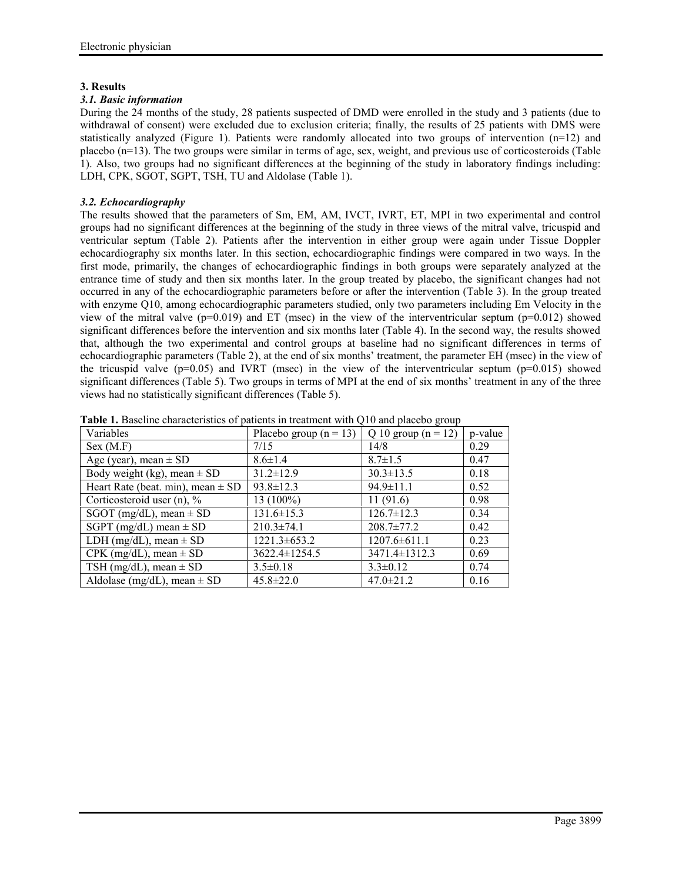## **3. Results**

## *3.1. Basic information*

During the 24 months of the study, 28 patients suspected of DMD were enrolled in the study and 3 patients (due to withdrawal of consent) were excluded due to exclusion criteria; finally, the results of 25 patients with DMS were statistically analyzed (Figure 1). Patients were randomly allocated into two groups of intervention (n=12) and placebo (n=13). The two groups were similar in terms of age, sex, weight, and previous use of corticosteroids (Table 1). Also, two groups had no significant differences at the beginning of the study in laboratory findings including: LDH, CPK, SGOT, SGPT, TSH, TU and Aldolase (Table 1).

## *3.2. Echocardiography*

The results showed that the parameters of Sm, EM, AM, IVCT, IVRT, ET, MPI in two experimental and control groups had no significant differences at the beginning of the study in three views of the mitral valve, tricuspid and ventricular septum (Table 2). Patients after the intervention in either group were again under Tissue Doppler echocardiography six months later. In this section, echocardiographic findings were compared in two ways. In the first mode, primarily, the changes of echocardiographic findings in both groups were separately analyzed at the entrance time of study and then six months later. In the group treated by placebo, the significant changes had not occurred in any of the echocardiographic parameters before or after the intervention (Table 3). In the group treated with enzyme Q10, among echocardiographic parameters studied, only two parameters including Em Velocity in the view of the mitral valve ( $p=0.019$ ) and ET (msec) in the view of the interventricular septum ( $p=0.012$ ) showed significant differences before the intervention and six months later (Table 4). In the second way, the results showed that, although the two experimental and control groups at baseline had no significant differences in terms of echocardiographic parameters (Table 2), at the end of six months' treatment, the parameter EH (msec) in the view of the tricuspid valve ( $p=0.05$ ) and IVRT (msec) in the view of the interventricular septum ( $p=0.015$ ) showed significant differences (Table 5). Two groups in terms of MPI at the end of six months' treatment in any of the three views had no statistically significant differences (Table 5).

| Variables                             | Placebo group $(n = 13)$ | Q 10 group $(n = 12)$ | p-value |
|---------------------------------------|--------------------------|-----------------------|---------|
| Sex (M.F)                             | 7/15                     | 14/8                  | 0.29    |
| Age (year), mean $\pm$ SD             | $8.6 \pm 1.4$            | $8.7 \pm 1.5$         | 0.47    |
| Body weight (kg), mean $\pm$ SD       | $31.2 \pm 12.9$          | $30.3 \pm 13.5$       | 0.18    |
| Heart Rate (beat. min), mean $\pm$ SD | $93.8 \pm 12.3$          | $94.9 \pm 11.1$       | 0.52    |
| Corticosteroid user $(n)$ , %         | 13 (100%)                | 11(91.6)              | 0.98    |
| SGOT (mg/dL), mean $\pm$ SD           | $131.6 \pm 15.3$         | $126.7 \pm 12.3$      | 0.34    |
| SGPT (mg/dL) mean $\pm$ SD            | $210.3 \pm 74.1$         | $208.7 \pm 77.2$      | 0.42    |
| LDH (mg/dL), mean $\pm$ SD            | $1221.3 \pm 653.2$       | $1207.6 \pm 611.1$    | 0.23    |
| $CPK$ (mg/dL), mean $\pm$ SD          | $3622.4 \pm 1254.5$      | $3471.4 \pm 1312.3$   | 0.69    |
| TSH (mg/dL), mean $\pm$ SD            | $3.5 \pm 0.18$           | $3.3 \pm 0.12$        | 0.74    |
| Aldolase (mg/dL), mean $\pm$ SD       | $45.8 \pm 22.0$          | $47.0 \pm 21.2$       | 0.16    |

**Table 1.** Baseline characteristics of patients in treatment with Q10 and placebo group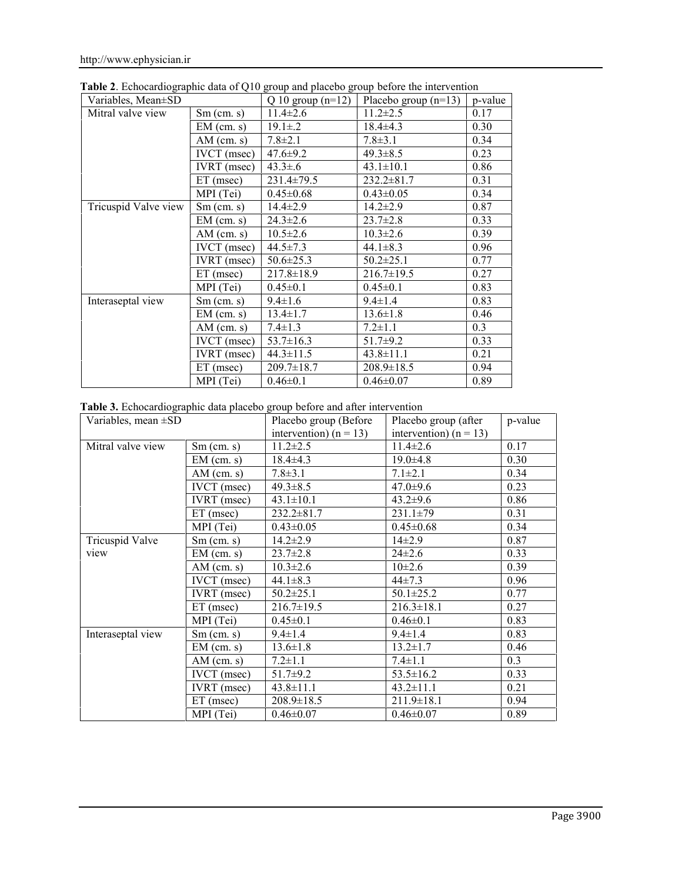| Variables, Mean±SD   |                    | Q 10 group $(n=12)$ | Placebo group $(n=13)$ | p-value |
|----------------------|--------------------|---------------------|------------------------|---------|
| Mitral valve view    | $Sm$ (cm. s)       | $11.4 \pm 2.6$      | $11.2 \pm 2.5$         | 0.17    |
|                      | $EM$ (cm. s)       | $19.1 \pm .2$       | $18.4 \pm 4.3$         | 0.30    |
|                      | $AM$ (cm. s)       | $7.8 \pm 2.1$       | $7.8 \pm 3.1$          | 0.34    |
|                      | <b>IVCT</b> (msec) | $47.6 \pm 9.2$      | $49.3 \pm 8.5$         | 0.23    |
|                      | <b>IVRT</b> (msec) | $43.3 \pm .6$       | $43.1 \pm 10.1$        | 0.86    |
|                      | $ET$ (msec)        | $231.4 \pm 79.5$    | $232.2 \pm 81.7$       | 0.31    |
|                      | MPI (Tei)          | $0.45 \pm 0.68$     | $0.43 \pm 0.05$        | 0.34    |
| Tricuspid Valve view | $Sm$ (cm. s)       | $14.4 \pm 2.9$      | $14.2 \pm 2.9$         | 0.87    |
|                      | $EM$ (cm. s)       | $24.3 \pm 2.6$      | $23.7 \pm 2.8$         | 0.33    |
|                      | $AM$ (cm. s)       | $10.5 \pm 2.6$      | $10.3 \pm 2.6$         | 0.39    |
|                      | <b>IVCT</b> (msec) | $44.5 \pm 7.3$      | $44.1 \pm 8.3$         | 0.96    |
|                      | <b>IVRT</b> (msec) | $50.6 \pm 25.3$     | $50.2 \pm 25.1$        | 0.77    |
|                      | $ET$ (msec)        | $217.8 \pm 18.9$    | $216.7 \pm 19.5$       | 0.27    |
|                      | MPI (Tei)          | $0.45 \pm 0.1$      | $0.45 \pm 0.1$         | 0.83    |
| Interaseptal view    | $Sm$ (cm. s)       | $9.4 \pm 1.6$       | $9.4 \pm 1.4$          | 0.83    |
|                      | $EM$ (cm. s)       | $13.4 \pm 1.7$      | $13.6 \pm 1.8$         | 0.46    |
|                      | $AM$ (cm. s)       | $7.4 \pm 1.3$       | $7.2 \pm 1.1$          | 0.3     |
|                      | <b>IVCT</b> (msec) | $53.7 \pm 16.3$     | $51.7+9.2$             | 0.33    |
|                      | <b>IVRT</b> (msec) | $44.3 \pm 11.5$     | $43.8 \pm 11.1$        | 0.21    |
|                      | $ET$ (msec)        | $209.7 \pm 18.7$    | $208.9 \pm 18.5$       | 0.94    |
|                      | MPI (Tei)          | $0.46 \pm 0.1$      | $0.46 \pm 0.07$        | 0.89    |

**Table 2**. Echocardiographic data of Q10 group and placebo group before the intervention

| Table 3. Echocardiographic data placebo group before and after intervention |  |  |  |  |
|-----------------------------------------------------------------------------|--|--|--|--|
|                                                                             |  |  |  |  |

| Variables, mean $\pm SD$ |                    | Placebo group (Before    | Placebo group (after       | p-value |
|--------------------------|--------------------|--------------------------|----------------------------|---------|
|                          |                    | intervention) $(n = 13)$ | intervention) ( $n = 13$ ) |         |
| Mitral valve view        | $Sm$ (cm. s)       | $11.2 \pm 2.5$           | $11.4 \pm 2.6$             | 0.17    |
|                          | $EM$ (cm. s)       | $18.4 \pm 4.3$           | $19.0 \pm 4.8$             | 0.30    |
|                          | $AM$ (cm. s)       | $7.8 \pm 3.1$            | $7.1 \pm 2.1$              | 0.34    |
|                          | <b>IVCT</b> (msec) | $49.3 \pm 8.5$           | $47.0 \pm 9.6$             | 0.23    |
|                          | <b>IVRT</b> (msec) | $43.1 \pm 10.1$          | $43.2 \pm 9.6$             | 0.86    |
|                          | $ET$ (msec)        | $232.2 \pm 81.7$         | $231.1 \pm 79$             | 0.31    |
|                          | MPI (Tei)          | $0.43 \pm 0.05$          | $0.45 \pm 0.68$            | 0.34    |
| Tricuspid Valve          | $Sm$ (cm. s)       | $14.2 \pm 2.9$           | $14\pm 2.9$                | 0.87    |
| view                     | $EM$ (cm. s)       | $23.7 \pm 2.8$           | $24\pm 2.6$                | 0.33    |
|                          | $AM$ (cm. s)       | $10.3 \pm 2.6$           | $10\pm 2.6$                | 0.39    |
|                          | <b>IVCT</b> (msec) | $44.1 \pm 8.3$           | $44\pm7.3$                 | 0.96    |
|                          | <b>IVRT</b> (msec) | $50.2 \pm 25.1$          | $50.1 \pm 25.2$            | 0.77    |
|                          | $ET$ (msec)        | $216.7 \pm 19.5$         | $216.3 \pm 18.1$           | 0.27    |
|                          | MPI (Tei)          | $0.45 \pm 0.1$           | $0.46 \pm 0.1$             | 0.83    |
| Interaseptal view        | $Sm$ (cm. s)       | $9.4 \pm 1.4$            | $9.4 \pm 1.4$              | 0.83    |
|                          | $EM$ (cm. s)       | $13.6 \pm 1.8$           | $13.2 \pm 1.7$             | 0.46    |
|                          | $AM$ (cm. s)       | $7.2 \pm 1.1$            | $7.4 \pm 1.1$              | 0.3     |
|                          | <b>IVCT</b> (msec) | $51.7 \pm 9.2$           | $53.5 \pm 16.2$            | 0.33    |
|                          | <b>IVRT</b> (msec) | $43.8 \pm 11.1$          | $43.2 \pm 11.1$            | 0.21    |
|                          | $ET$ (msec)        | $208.9 \pm 18.5$         | $211.9 \pm 18.1$           | 0.94    |
|                          | MPI (Tei)          | $0.46 \pm 0.07$          | $0.46 \pm 0.07$            | 0.89    |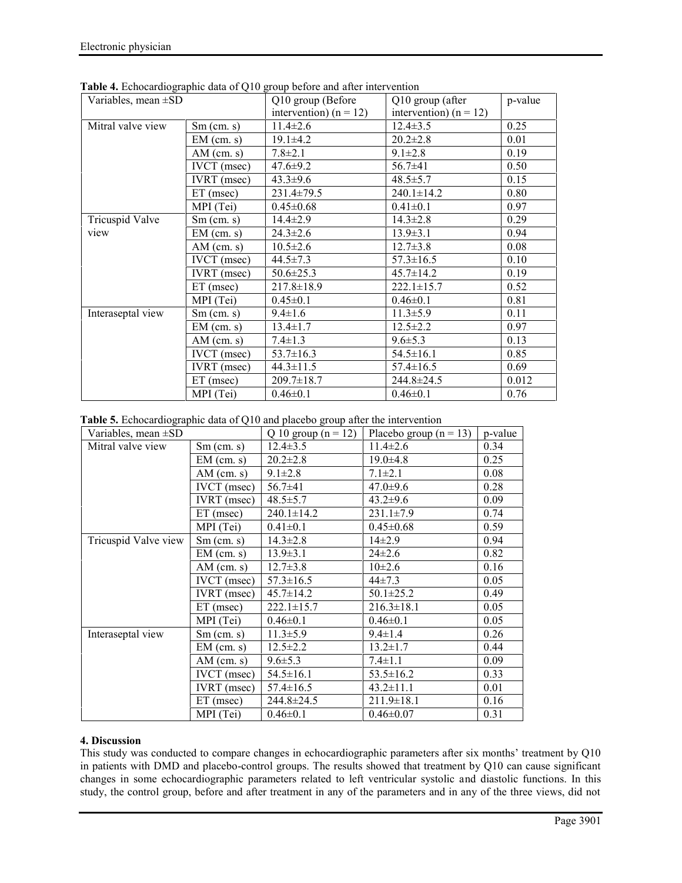| Variables, mean $\pm SD$ |                    | Q10 group (Before          | Q10 group (after           | p-value |
|--------------------------|--------------------|----------------------------|----------------------------|---------|
|                          |                    | intervention) ( $n = 12$ ) | intervention) ( $n = 12$ ) |         |
| Mitral valve view        | $Sm$ (cm. s)       | $11.4 \pm 2.6$             | $12.4 \pm 3.5$             | 0.25    |
|                          | $EM$ (cm. s)       | $19.1 \pm 4.2$             | $20.2 \pm 2.8$             | 0.01    |
|                          | $AM$ (cm. s)       | $7.8 \pm 2.1$              | $9.1 \pm 2.8$              | 0.19    |
|                          | <b>IVCT</b> (msec) | $47.6 \pm 9.2$             | $56.7 \pm 41$              | 0.50    |
|                          | <b>IVRT</b> (msec) | $43.3 \pm 9.6$             | $48.5 \pm 5.7$             | 0.15    |
|                          | $ET$ (msec)        | 231.4±79.5                 | $240.1 \pm 14.2$           | 0.80    |
|                          | MPI (Tei)          | $0.45 \pm 0.68$            | $0.41 \pm 0.1$             | 0.97    |
| <b>Tricuspid Valve</b>   | $Sm$ (cm. s)       | $14.4 \pm 2.9$             | $14.3 \pm 2.8$             | 0.29    |
| view                     | $EM$ (cm. s)       | $24.3 \pm 2.6$             | $13.9 \pm 3.1$             | 0.94    |
|                          | $AM$ (cm. s)       | $10.5 \pm 2.6$             | $12.7 \pm 3.8$             | 0.08    |
|                          | $IVCT$ (msec)      | $44.5 \pm 7.3$             | $57.3 \pm 16.5$            | 0.10    |
|                          | <b>IVRT</b> (msec) | $50.6 \pm 25.3$            | $45.7 \pm 14.2$            | 0.19    |
|                          | $ET$ (msec)        | $217.8 \pm 18.9$           | $222.1 \pm 15.7$           | 0.52    |
|                          | MPI (Tei)          | $0.45 \pm 0.1$             | $0.46 \pm 0.1$             | 0.81    |
| Interaseptal view        | $Sm$ (cm. s)       | $9.4 \pm 1.6$              | $11.3 \pm 5.9$             | 0.11    |
|                          | $EM$ (cm. s)       | $13.4 \pm 1.7$             | $12.5 \pm 2.2$             | 0.97    |
|                          | $AM$ (cm. s)       | $7.4 \pm 1.3$              | $9.6 \pm 5.3$              | 0.13    |
|                          | <b>IVCT</b> (msec) | $53.7 \pm 16.3$            | $54.5 \pm 16.1$            | 0.85    |
|                          | <b>IVRT</b> (msec) | $44.3 \pm 11.5$            | $57.4 \pm 16.5$            | 0.69    |
|                          | $ET$ (msec)        | $209.7 \pm 18.7$           | 244.8±24.5                 | 0.012   |
|                          | MPI (Tei)          | $0.46 \pm 0.1$             | $0.46 \pm 0.1$             | 0.76    |

**Table 4.** Echocardiographic data of Q10 group before and after intervention

**Table 5.** Echocardiographic data of Q10 and placebo group after the intervention

| Variables, mean $\pm SD$ |                    | Q 10 group $(n = 12)$ | Placebo group $(n = 13)$ | p-value |
|--------------------------|--------------------|-----------------------|--------------------------|---------|
| Mitral valve view        | $Sm$ (cm. s)       | $12.4 \pm 3.5$        | $11.4 \pm 2.6$           | 0.34    |
|                          | $EM$ (cm. s)       | $20.2 \pm 2.8$        | $19.0 \pm 4.8$           | 0.25    |
|                          | $AM$ (cm. s)       | $9.1 \pm 2.8$         | $7.1 \pm 2.1$            | 0.08    |
|                          | <b>IVCT</b> (msec) | $56.7\pm41$           | $47.0 \pm 9.6$           | 0.28    |
|                          | <b>IVRT</b> (msec) | $48.5 \pm 5.7$        | $43.2 \pm 9.6$           | 0.09    |
|                          | $ET$ (msec)        | $240.1 \pm 14.2$      | $231.1 \pm 7.9$          | 0.74    |
|                          | MPI (Tei)          | $0.41 \pm 0.1$        | $0.45 \pm 0.68$          | 0.59    |
| Tricuspid Valve view     | $Sm$ (cm. s)       | $14.3 \pm 2.8$        | $14\pm 2.9$              | 0.94    |
|                          | $EM$ (cm. s)       | $13.9 \pm 3.1$        | $24 \pm 2.6$             | 0.82    |
|                          | $AM$ (cm. s)       | $12.7 \pm 3.8$        | $10\pm 2.6$              | 0.16    |
|                          | <b>IVCT</b> (msec) | $57.3 \pm 16.5$       | $44\pm7.3$               | 0.05    |
|                          | <b>IVRT</b> (msec) | $45.7 \pm 14.2$       | $50.1 \pm 25.2$          | 0.49    |
|                          | $ET$ (msec)        | $222.1 \pm 15.7$      | $216.3 \pm 18.1$         | 0.05    |
|                          | MPI (Tei)          | $0.46 \pm 0.1$        | $0.46 \pm 0.1$           | 0.05    |
| Interaseptal view        | $Sm$ (cm. s)       | $11.3 \pm 5.9$        | $9.4 \pm 1.4$            | 0.26    |
|                          | $EM$ (cm. s)       | $12.5 \pm 2.2$        | $13.2 \pm 1.7$           | 0.44    |
|                          | $AM$ (cm. s)       | $9.6 \pm 5.3$         | $7.4 \pm 1.1$            | 0.09    |
|                          | $IVCT$ (msec)      | $54.5 \pm 16.1$       | $53.5 \pm 16.2$          | 0.33    |
|                          | IVRT (msec)        | $57.4 \pm 16.5$       | $43.2 \pm 11.1$          | 0.01    |
|                          | $ET$ (msec)        | $244.8 \pm 24.5$      | $211.9 \pm 18.1$         | 0.16    |
|                          | MPI (Tei)          | $0.46 \pm 0.1$        | $0.46 \pm 0.07$          | 0.31    |

## **4. Discussion**

This study was conducted to compare changes in echocardiographic parameters after six months' treatment by Q10 in patients with DMD and placebo-control groups. The results showed that treatment by Q10 can cause significant changes in some echocardiographic parameters related to left ventricular systolic and diastolic functions. In this study, the control group, before and after treatment in any of the parameters and in any of the three views, did not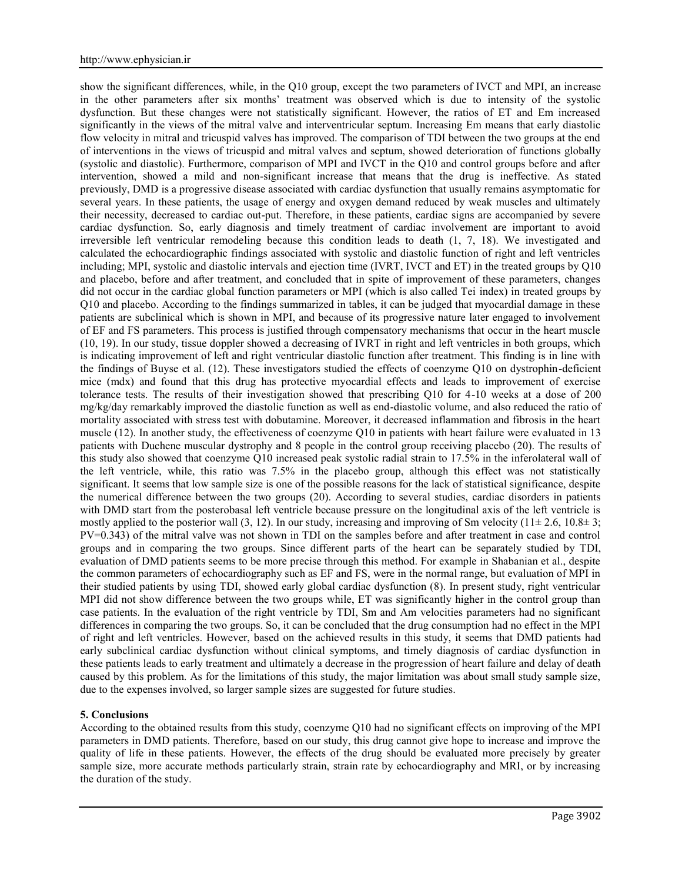show the significant differences, while, in the Q10 group, except the two parameters of IVCT and MPI, an increase in the other parameters after six months' treatment was observed which is due to intensity of the systolic dysfunction. But these changes were not statistically significant. However, the ratios of ET and Em increased significantly in the views of the mitral valve and interventricular septum. Increasing Em means that early diastolic flow velocity in mitral and tricuspid valves has improved. The comparison of TDI between the two groups at the end of interventions in the views of tricuspid and mitral valves and septum, showed deterioration of functions globally (systolic and diastolic). Furthermore, comparison of MPI and IVCT in the Q10 and control groups before and after intervention, showed a mild and non-significant increase that means that the drug is ineffective. As stated previously, DMD is a progressive disease associated with cardiac dysfunction that usually remains asymptomatic for several years. In these patients, the usage of energy and oxygen demand reduced by weak muscles and ultimately their necessity, decreased to cardiac out-put. Therefore, in these patients, cardiac signs are accompanied by severe cardiac dysfunction. So, early diagnosis and timely treatment of cardiac involvement are important to avoid irreversible left ventricular remodeling because this condition leads to death (1, 7, 18). We investigated and calculated the echocardiographic findings associated with systolic and diastolic function of right and left ventricles including; MPI, systolic and diastolic intervals and ejection time (IVRT, IVCT and ET) in the treated groups by Q10 and placebo, before and after treatment, and concluded that in spite of improvement of these parameters, changes did not occur in the cardiac global function parameters or MPI (which is also called Tei index) in treated groups by Q10 and placebo. According to the findings summarized in tables, it can be judged that myocardial damage in these patients are subclinical which is shown in MPI, and because of its progressive nature later engaged to involvement of EF and FS parameters. This process is justified through compensatory mechanisms that occur in the heart muscle (10, 19). In our study, tissue doppler showed a decreasing of IVRT in right and left ventricles in both groups, which is indicating improvement of left and right ventricular diastolic function after treatment. This finding is in line with the findings of Buyse et al. (12). These investigators studied the effects of coenzyme Q10 on dystrophin-deficient mice (mdx) and found that this drug has protective myocardial effects and leads to improvement of exercise tolerance tests. The results of their investigation showed that prescribing Q10 for 4-10 weeks at a dose of 200 mg/kg/day remarkably improved the diastolic function as well as end-diastolic volume, and also reduced the ratio of mortality associated with stress test with dobutamine. Moreover, it decreased inflammation and fibrosis in the heart muscle (12). In another study, the effectiveness of coenzyme Q10 in patients with heart failure were evaluated in 13 patients with Duchene muscular dystrophy and 8 people in the control group receiving placebo (20). The results of this study also showed that coenzyme Q10 increased peak systolic radial strain to 17.5% in the inferolateral wall of the left ventricle, while, this ratio was 7.5% in the placebo group, although this effect was not statistically significant. It seems that low sample size is one of the possible reasons for the lack of statistical significance, despite the numerical difference between the two groups (20). According to several studies, cardiac disorders in patients with DMD start from the posterobasal left ventricle because pressure on the longitudinal axis of the left ventricle is mostly applied to the posterior wall (3, 12). In our study, increasing and improving of Sm velocity (11 $\pm$  2.6, 10.8 $\pm$  3; PV=0.343) of the mitral valve was not shown in TDI on the samples before and after treatment in case and control groups and in comparing the two groups. Since different parts of the heart can be separately studied by TDI, evaluation of DMD patients seems to be more precise through this method. For example in Shabanian et al., despite the common parameters of echocardiography such as EF and FS, were in the normal range, but evaluation of MPI in their studied patients by using TDI, showed early global cardiac dysfunction (8). In present study, right ventricular MPI did not show difference between the two groups while, ET was significantly higher in the control group than case patients. In the evaluation of the right ventricle by TDI, Sm and Am velocities parameters had no significant differences in comparing the two groups. So, it can be concluded that the drug consumption had no effect in the MPI of right and left ventricles. However, based on the achieved results in this study, it seems that DMD patients had early subclinical cardiac dysfunction without clinical symptoms, and timely diagnosis of cardiac dysfunction in these patients leads to early treatment and ultimately a decrease in the progression of heart failure and delay of death caused by this problem. As for the limitations of this study, the major limitation was about small study sample size, due to the expenses involved, so larger sample sizes are suggested for future studies.

#### **5. Conclusions**

According to the obtained results from this study, coenzyme Q10 had no significant effects on improving of the MPI parameters in DMD patients. Therefore, based on our study, this drug cannot give hope to increase and improve the quality of life in these patients. However, the effects of the drug should be evaluated more precisely by greater sample size, more accurate methods particularly strain, strain rate by echocardiography and MRI, or by increasing the duration of the study.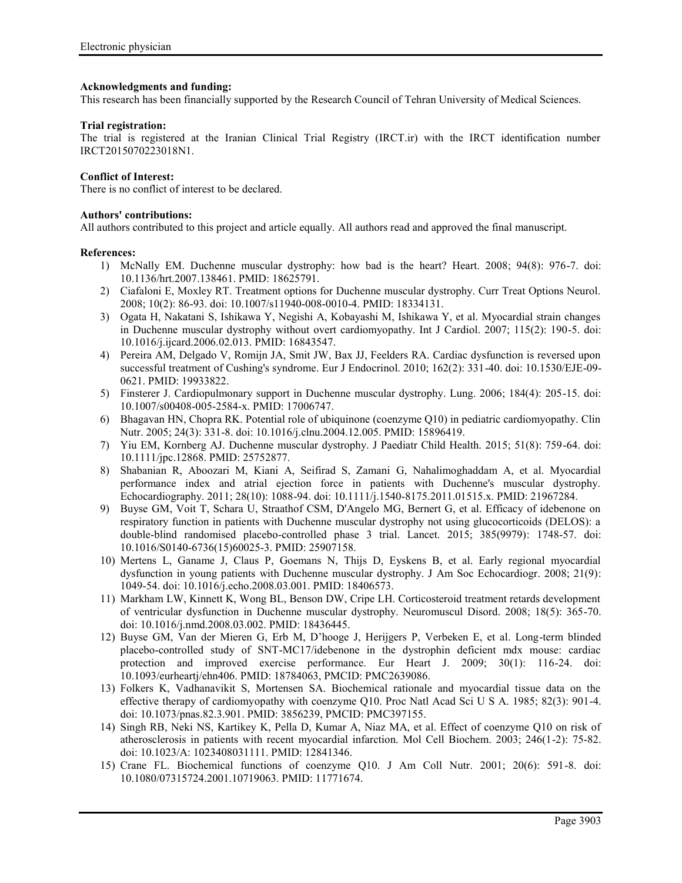### **Acknowledgments and funding:**

This research has been financially supported by the Research Council of Tehran University of Medical Sciences.

### **Trial registration:**

The trial is registered at the Iranian Clinical Trial Registry (IRCT.ir) with the IRCT identification number IRCT2015070223018N1.

### **Conflict of Interest:**

There is no conflict of interest to be declared.

## **Authors' contributions:**

All authors contributed to this project and article equally. All authors read and approved the final manuscript.

### **References:**

- 1) McNally EM. Duchenne muscular dystrophy: how bad is the heart? Heart. 2008; 94(8): 976-7. doi: 10.1136/hrt.2007.138461. PMID: 18625791.
- 2) Ciafaloni E, Moxley RT. Treatment options for Duchenne muscular dystrophy. Curr Treat Options Neurol. 2008; 10(2): 86-93. doi: 10.1007/s11940-008-0010-4. PMID: 18334131.
- 3) Ogata H, Nakatani S, Ishikawa Y, Negishi A, Kobayashi M, Ishikawa Y, et al. Myocardial strain changes in Duchenne muscular dystrophy without overt cardiomyopathy. Int J Cardiol. 2007; 115(2): 190-5. doi: 10.1016/j.ijcard.2006.02.013. PMID: 16843547.
- 4) Pereira AM, Delgado V, Romijn JA, Smit JW, Bax JJ, Feelders RA. Cardiac dysfunction is reversed upon successful treatment of Cushing's syndrome. Eur J Endocrinol. 2010; 162(2): 331-40. doi: 10.1530/EJE-09- 0621. PMID: 19933822.
- 5) Finsterer J. Cardiopulmonary support in Duchenne muscular dystrophy. Lung. 2006; 184(4): 205-15. doi: 10.1007/s00408-005-2584-x. PMID: 17006747.
- 6) Bhagavan HN, Chopra RK. Potential role of ubiquinone (coenzyme Q10) in pediatric cardiomyopathy. Clin Nutr. 2005; 24(3): 331-8. doi: 10.1016/j.clnu.2004.12.005. PMID: 15896419.
- 7) Yiu EM, Kornberg AJ. Duchenne muscular dystrophy. J Paediatr Child Health. 2015; 51(8): 759-64. doi: 10.1111/jpc.12868. PMID: 25752877.
- 8) Shabanian R, Aboozari M, Kiani A, Seifirad S, Zamani G, Nahalimoghaddam A, et al. Myocardial performance index and atrial ejection force in patients with Duchenne's muscular dystrophy. Echocardiography. 2011; 28(10): 1088-94. doi: 10.1111/j.1540-8175.2011.01515.x. PMID: 21967284.
- 9) Buyse GM, Voit T, Schara U, Straathof CSM, D'Angelo MG, Bernert G, et al. Efficacy of idebenone on respiratory function in patients with Duchenne muscular dystrophy not using glucocorticoids (DELOS): a double-blind randomised placebo-controlled phase 3 trial. Lancet. 2015; 385(9979): 1748-57. doi: 10.1016/S0140-6736(15)60025-3. PMID: 25907158.
- 10) Mertens L, Ganame J, Claus P, Goemans N, Thijs D, Eyskens B, et al. Early regional myocardial dysfunction in young patients with Duchenne muscular dystrophy. J Am Soc Echocardiogr. 2008; 21(9): 1049-54. doi: 10.1016/j.echo.2008.03.001. PMID: 18406573.
- 11) Markham LW, Kinnett K, Wong BL, Benson DW, Cripe LH. Corticosteroid treatment retards development of ventricular dysfunction in Duchenne muscular dystrophy. Neuromuscul Disord. 2008; 18(5): 365-70. doi: 10.1016/j.nmd.2008.03.002. PMID: 18436445.
- 12) Buyse GM, Van der Mieren G, Erb M, D'hooge J, Herijgers P, Verbeken E, et al. Long-term blinded placebo-controlled study of SNT-MC17/idebenone in the dystrophin deficient mdx mouse: cardiac protection and improved exercise performance. Eur Heart J. 2009; 30(1): 116-24. doi: 10.1093/eurheartj/ehn406. PMID: 18784063, PMCID: PMC2639086.
- 13) Folkers K, Vadhanavikit S, Mortensen SA. Biochemical rationale and myocardial tissue data on the effective therapy of cardiomyopathy with coenzyme Q10. Proc Natl Acad Sci U S A. 1985; 82(3): 901-4. doi: 10.1073/pnas.82.3.901. PMID: 3856239, PMCID: PMC397155.
- 14) Singh RB, Neki NS, Kartikey K, Pella D, Kumar A, Niaz MA, et al. Effect of coenzyme Q10 on risk of atherosclerosis in patients with recent myocardial infarction. Mol Cell Biochem. 2003; 246(1-2): 75-82. doi: 10.1023/A: 1023408031111. PMID: 12841346.
- 15) Crane FL. Biochemical functions of coenzyme Q10. J Am Coll Nutr. 2001; 20(6): 591-8. doi: 10.1080/07315724.2001.10719063. PMID: 11771674.